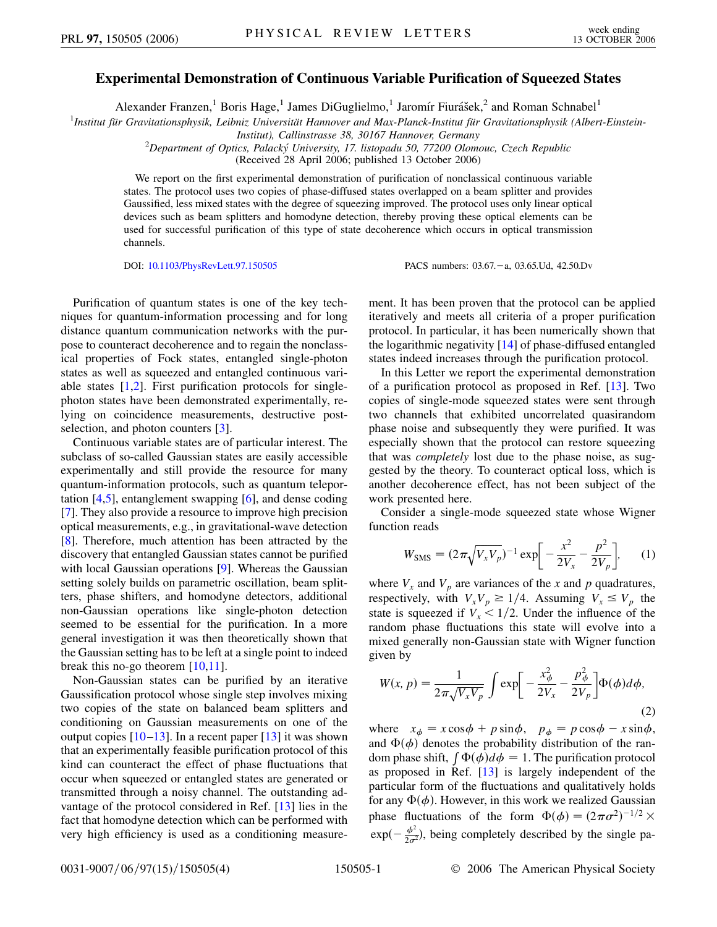## **Experimental Demonstration of Continuous Variable Purification of Squeezed States**

Alexander Franzen,<sup>1</sup> Boris Hage,<sup>1</sup> James DiGuglielmo,<sup>1</sup> Jaromír Fiurášek,<sup>2</sup> and Roman Schnabel<sup>1</sup>

<sup>1</sup>Institut für Gravitationsphysik, Leibniz Universität Hannover and Max-Planck-Institut für Gravitationsphysik (Albert-Einstein-

*Institut), Callinstrasse 38, 30167 Hannover, Germany* <sup>2</sup>

*Department of Optics, Palacky´ University, 17. listopadu 50, 77200 Olomouc, Czech Republic*

(Received 28 April 2006; published 13 October 2006)

We report on the first experimental demonstration of purification of nonclassical continuous variable states. The protocol uses two copies of phase-diffused states overlapped on a beam splitter and provides Gaussified, less mixed states with the degree of squeezing improved. The protocol uses only linear optical devices such as beam splitters and homodyne detection, thereby proving these optical elements can be used for successful purification of this type of state decoherence which occurs in optical transmission channels.

DOI: [10.1103/PhysRevLett.97.150505](http://dx.doi.org/10.1103/PhysRevLett.97.150505) PACS numbers: 03.67. - a, 03.65.Ud, 42.50.Dv

Purification of quantum states is one of the key techniques for quantum-information processing and for long distance quantum communication networks with the purpose to counteract decoherence and to regain the nonclassical properties of Fock states, entangled single-photon states as well as squeezed and entangled continuous variable states  $[1,2]$  $[1,2]$  $[1,2]$  $[1,2]$ . First purification protocols for singlephoton states have been demonstrated experimentally, relying on coincidence measurements, destructive post-selection, and photon counters [\[3](#page-3-2)].

Continuous variable states are of particular interest. The subclass of so-called Gaussian states are easily accessible experimentally and still provide the resource for many quantum-information protocols, such as quantum teleportation [\[4](#page-3-3)[,5](#page-3-4)], entanglement swapping [[6](#page-3-5)], and dense coding [\[7\]](#page-3-6). They also provide a resource to improve high precision optical measurements, e.g., in gravitational-wave detection [\[8\]](#page-3-7). Therefore, much attention has been attracted by the discovery that entangled Gaussian states cannot be purified with local Gaussian operations [[9\]](#page-3-8). Whereas the Gaussian setting solely builds on parametric oscillation, beam splitters, phase shifters, and homodyne detectors, additional non-Gaussian operations like single-photon detection seemed to be essential for the purification. In a more general investigation it was then theoretically shown that the Gaussian setting has to be left at a single point to indeed break this no-go theorem [[10](#page-3-9),[11](#page-3-10)].

Non-Gaussian states can be purified by an iterative Gaussification protocol whose single step involves mixing two copies of the state on balanced beam splitters and conditioning on Gaussian measurements on one of the output copies  $[10-13]$  $[10-13]$  $[10-13]$  $[10-13]$ . In a recent paper  $[13]$  it was shown that an experimentally feasible purification protocol of this kind can counteract the effect of phase fluctuations that occur when squeezed or entangled states are generated or transmitted through a noisy channel. The outstanding advantage of the protocol considered in Ref. [[13](#page-3-11)] lies in the fact that homodyne detection which can be performed with very high efficiency is used as a conditioning measurement. It has been proven that the protocol can be applied iteratively and meets all criteria of a proper purification protocol. In particular, it has been numerically shown that the logarithmic negativity [\[14\]](#page-3-12) of phase-diffused entangled states indeed increases through the purification protocol.

In this Letter we report the experimental demonstration of a purification protocol as proposed in Ref. [[13](#page-3-11)]. Two copies of single-mode squeezed states were sent through two channels that exhibited uncorrelated quasirandom phase noise and subsequently they were purified. It was especially shown that the protocol can restore squeezing that was *completely* lost due to the phase noise, as suggested by the theory. To counteract optical loss, which is another decoherence effect, has not been subject of the work presented here.

Consider a single-mode squeezed state whose Wigner function reads

$$
W_{\rm SMS} = (2\pi \sqrt{V_x V_p})^{-1} \exp \left[ -\frac{x^2}{2V_x} - \frac{p^2}{2V_p} \right], \qquad (1)
$$

where  $V_x$  and  $V_p$  are variances of the *x* and *p* quadratures, respectively, with  $V_xV_p \ge 1/4$ . Assuming  $V_x \le V_p$  the state is squeezed if  $V_r < 1/2$ . Under the influence of the random phase fluctuations this state will evolve into a mixed generally non-Gaussian state with Wigner function given by

$$
W(x, p) = \frac{1}{2\pi\sqrt{V_x V_p}} \int \exp\left[-\frac{x_\phi^2}{2V_x} - \frac{p_\phi^2}{2V_p}\right] \Phi(\phi) d\phi,
$$
\n(2)

where  $x_{\phi} = x \cos \phi + p \sin \phi$ ,  $p_{\phi} = p \cos \phi - x \sin \phi$ , and  $\Phi(\phi)$  denotes the probability distribution of the ran- $\lim_{\phi \to 0} \Phi(\phi)$  denotes the probability distribution of the function protocol as proposed in Ref. [[13](#page-3-11)] is largely independent of the particular form of the fluctuations and qualitatively holds for any  $\Phi(\phi)$ . However, in this work we realized Gaussian phase fluctuations of the form  $\Phi(\phi) = (2\pi\sigma^2)^{-1/2} \times$  $\exp(-\frac{\phi^2}{2\sigma^2})$ , being completely described by the single pa-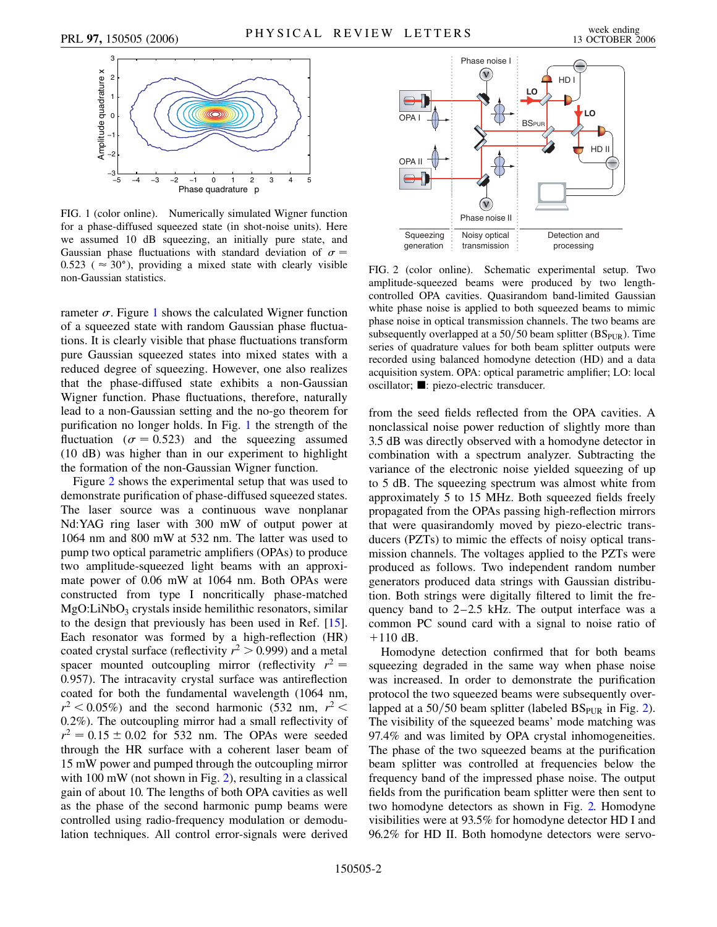<span id="page-1-0"></span>

FIG. 1 (color online). Numerically simulated Wigner function for a phase-diffused squeezed state (in shot-noise units). Here we assumed 10 dB squeezing, an initially pure state, and Gaussian phase fluctuations with standard deviation of  $\sigma =$  $0.523$  ( $\approx 30^{\circ}$ ), providing a mixed state with clearly visible non-Gaussian statistics.

rameter  $\sigma$ . Figure [1](#page-1-0) shows the calculated Wigner function of a squeezed state with random Gaussian phase fluctuations. It is clearly visible that phase fluctuations transform pure Gaussian squeezed states into mixed states with a reduced degree of squeezing. However, one also realizes that the phase-diffused state exhibits a non-Gaussian Wigner function. Phase fluctuations, therefore, naturally lead to a non-Gaussian setting and the no-go theorem for purification no longer holds. In Fig. [1](#page-1-0) the strength of the fluctuation ( $\sigma = 0.523$ ) and the squeezing assumed (10 dB) was higher than in our experiment to highlight the formation of the non-Gaussian Wigner function.

Figure [2](#page-1-1) shows the experimental setup that was used to demonstrate purification of phase-diffused squeezed states. The laser source was a continuous wave nonplanar Nd:YAG ring laser with 300 mW of output power at 1064 nm and 800 mW at 532 nm. The latter was used to pump two optical parametric amplifiers (OPAs) to produce two amplitude-squeezed light beams with an approximate power of 0.06 mW at 1064 nm. Both OPAs were constructed from type I noncritically phase-matched  $MgO:LiNbO<sub>3</sub>$  crystals inside hemilithic resonators, similar to the design that previously has been used in Ref. [\[15\]](#page-3-13). Each resonator was formed by a high-reflection (HR) coated crystal surface (reflectivity  $r^2 > 0.999$ ) and a metal spacer mounted outcoupling mirror (reflectivity  $r^2 =$ 0*:*957). The intracavity crystal surface was antireflection coated for both the fundamental wavelength (1064 nm,  $r^2$  < 0.05%) and the second harmonic (532 nm,  $r^2$  < 0*:*2%). The outcoupling mirror had a small reflectivity of  $r^2 = 0.15 \pm 0.02$  for 532 nm. The OPAs were seeded through the HR surface with a coherent laser beam of 15 mW power and pumped through the outcoupling mirror with 100 mW (not shown in Fig. [2\)](#page-1-1), resulting in a classical gain of about 10. The lengths of both OPA cavities as well as the phase of the second harmonic pump beams were controlled using radio-frequency modulation or demodulation techniques. All control error-signals were derived

<span id="page-1-1"></span>

FIG. 2 (color online). Schematic experimental setup. Two amplitude-squeezed beams were produced by two lengthcontrolled OPA cavities. Quasirandom band-limited Gaussian white phase noise is applied to both squeezed beams to mimic phase noise in optical transmission channels. The two beams are subsequently overlapped at a 50/50 beam splitter (BS<sub>PUR</sub>). Time series of quadrature values for both beam splitter outputs were recorded using balanced homodyne detection (HD) and a data acquisition system. OPA: optical parametric amplifier; LO: local oscillator;  $\blacksquare$ : piezo-electric transducer.

from the seed fields reflected from the OPA cavities. A nonclassical noise power reduction of slightly more than 3.5 dB was directly observed with a homodyne detector in combination with a spectrum analyzer. Subtracting the variance of the electronic noise yielded squeezing of up to 5 dB. The squeezing spectrum was almost white from approximately 5 to 15 MHz. Both squeezed fields freely propagated from the OPAs passing high-reflection mirrors that were quasirandomly moved by piezo-electric transducers (PZTs) to mimic the effects of noisy optical transmission channels. The voltages applied to the PZTs were produced as follows. Two independent random number generators produced data strings with Gaussian distribution. Both strings were digitally filtered to limit the frequency band to 2–2.5 kHz. The output interface was a common PC sound card with a signal to noise ratio of  $+110$  dB.

Homodyne detection confirmed that for both beams squeezing degraded in the same way when phase noise was increased. In order to demonstrate the purification protocol the two squeezed beams were subsequently over-lapped at a 50/50 beam splitter (labeled BS<sub>PUR</sub> in Fig. [2\)](#page-1-1). The visibility of the squeezed beams' mode matching was 97.4% and was limited by OPA crystal inhomogeneities. The phase of the two squeezed beams at the purification beam splitter was controlled at frequencies below the frequency band of the impressed phase noise. The output fields from the purification beam splitter were then sent to two homodyne detectors as shown in Fig. [2.](#page-1-1) Homodyne visibilities were at 93.5% for homodyne detector HD I and 96.2% for HD II. Both homodyne detectors were servo-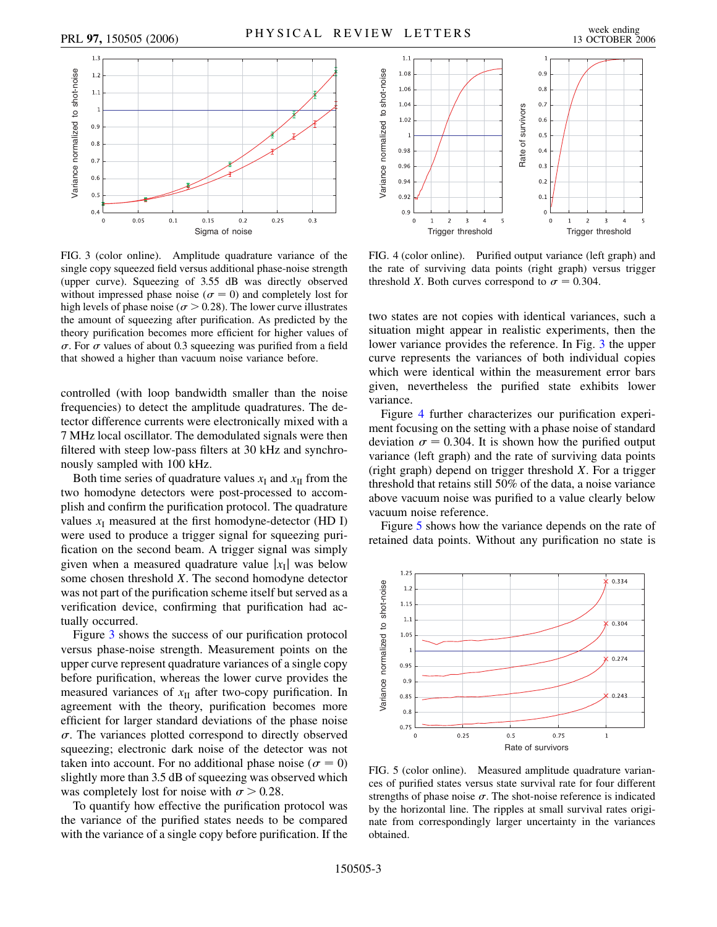<span id="page-2-0"></span>

FIG. 3 (color online). Amplitude quadrature variance of the single copy squeezed field versus additional phase-noise strength (upper curve). Squeezing of 3.55 dB was directly observed without impressed phase noise ( $\sigma = 0$ ) and completely lost for high levels of phase noise ( $\sigma$  > 0.28). The lower curve illustrates the amount of squeezing after purification. As predicted by the theory purification becomes more efficient for higher values of  $\sigma$ . For  $\sigma$  values of about 0.3 squeezing was purified from a field that showed a higher than vacuum noise variance before.

controlled (with loop bandwidth smaller than the noise frequencies) to detect the amplitude quadratures. The detector difference currents were electronically mixed with a 7 MHz local oscillator. The demodulated signals were then filtered with steep low-pass filters at 30 kHz and synchronously sampled with 100 kHz.

Both time series of quadrature values  $x_I$  and  $x_{II}$  from the two homodyne detectors were post-processed to accomplish and confirm the purification protocol. The quadrature values  $x_I$  measured at the first homodyne-detector (HD I) were used to produce a trigger signal for squeezing purification on the second beam. A trigger signal was simply given when a measured quadrature value  $|x_I|$  was below some chosen threshold *X*. The second homodyne detector was not part of the purification scheme itself but served as a verification device, confirming that purification had actually occurred.

Figure [3](#page-2-0) shows the success of our purification protocol versus phase-noise strength. Measurement points on the upper curve represent quadrature variances of a single copy before purification, whereas the lower curve provides the measured variances of  $x_{II}$  after two-copy purification. In agreement with the theory, purification becomes more efficient for larger standard deviations of the phase noise  $\sigma$ . The variances plotted correspond to directly observed squeezing; electronic dark noise of the detector was not taken into account. For no additional phase noise ( $\sigma = 0$ ) slightly more than 3.5 dB of squeezing was observed which was completely lost for noise with  $\sigma > 0.28$ .

To quantify how effective the purification protocol was the variance of the purified states needs to be compared with the variance of a single copy before purification. If the

<span id="page-2-1"></span>

FIG. 4 (color online). Purified output variance (left graph) and the rate of surviving data points (right graph) versus trigger threshold *X*. Both curves correspond to  $\sigma = 0.304$ .

two states are not copies with identical variances, such a situation might appear in realistic experiments, then the lower variance provides the reference. In Fig. [3](#page-2-0) the upper curve represents the variances of both individual copies which were identical within the measurement error bars given, nevertheless the purified state exhibits lower variance.

Figure [4](#page-2-1) further characterizes our purification experiment focusing on the setting with a phase noise of standard deviation  $\sigma = 0.304$ . It is shown how the purified output variance (left graph) and the rate of surviving data points (right graph) depend on trigger threshold *X*. For a trigger threshold that retains still 50% of the data, a noise variance above vacuum noise was purified to a value clearly below vacuum noise reference.

Figure [5](#page-2-2) shows how the variance depends on the rate of retained data points. Without any purification no state is

<span id="page-2-2"></span>

FIG. 5 (color online). Measured amplitude quadrature variances of purified states versus state survival rate for four different strengths of phase noise  $\sigma$ . The shot-noise reference is indicated by the horizontal line. The ripples at small survival rates originate from correspondingly larger uncertainty in the variances obtained.